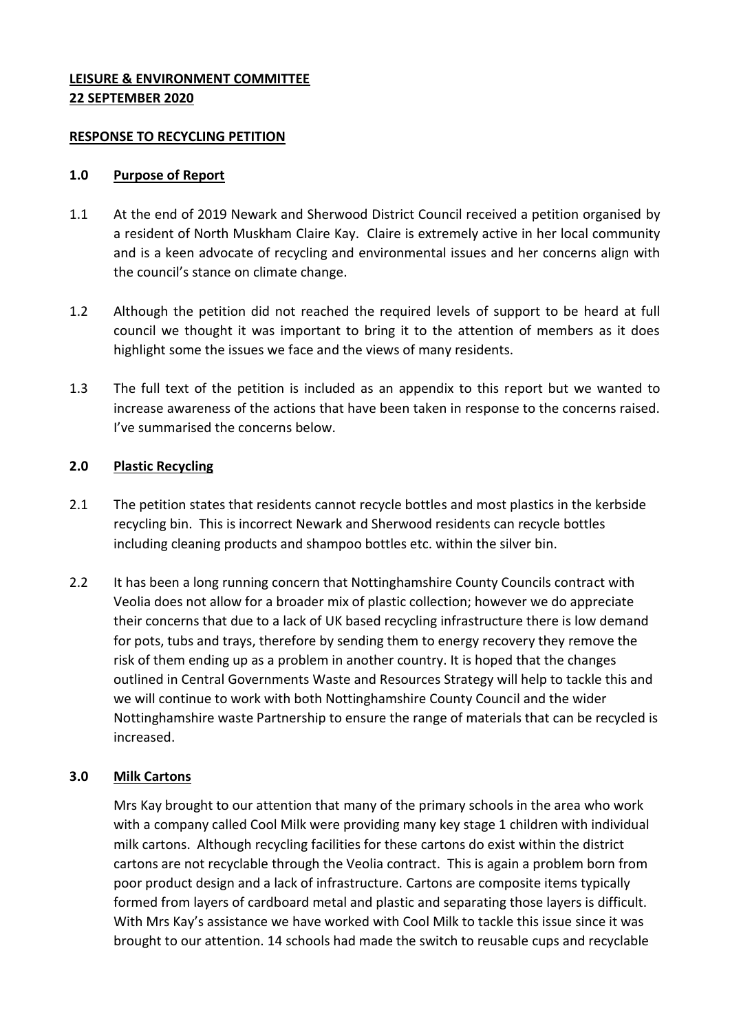## **LEISURE & ENVIRONMENT COMMITTEE 22 SEPTEMBER 2020**

#### **RESPONSE TO RECYCLING PETITION**

#### **1.0 Purpose of Report**

- 1.1 At the end of 2019 Newark and Sherwood District Council received a petition organised by a resident of North Muskham Claire Kay. Claire is extremely active in her local community and is a keen advocate of recycling and environmental issues and her concerns align with the council's stance on climate change.
- 1.2 Although the petition did not reached the required levels of support to be heard at full council we thought it was important to bring it to the attention of members as it does highlight some the issues we face and the views of many residents.
- 1.3 The full text of the petition is included as an appendix to this report but we wanted to increase awareness of the actions that have been taken in response to the concerns raised. I've summarised the concerns below.

## **2.0 Plastic Recycling**

- 2.1 The petition states that residents cannot recycle bottles and most plastics in the kerbside recycling bin. This is incorrect Newark and Sherwood residents can recycle bottles including cleaning products and shampoo bottles etc. within the silver bin.
- 2.2 It has been a long running concern that Nottinghamshire County Councils contract with Veolia does not allow for a broader mix of plastic collection; however we do appreciate their concerns that due to a lack of UK based recycling infrastructure there is low demand for pots, tubs and trays, therefore by sending them to energy recovery they remove the risk of them ending up as a problem in another country. It is hoped that the changes outlined in Central Governments Waste and Resources Strategy will help to tackle this and we will continue to work with both Nottinghamshire County Council and the wider Nottinghamshire waste Partnership to ensure the range of materials that can be recycled is increased.

## **3.0 Milk Cartons**

Mrs Kay brought to our attention that many of the primary schools in the area who work with a company called Cool Milk were providing many key stage 1 children with individual milk cartons. Although recycling facilities for these cartons do exist within the district cartons are not recyclable through the Veolia contract. This is again a problem born from poor product design and a lack of infrastructure. Cartons are composite items typically formed from layers of cardboard metal and plastic and separating those layers is difficult. With Mrs Kay's assistance we have worked with Cool Milk to tackle this issue since it was brought to our attention. 14 schools had made the switch to reusable cups and recyclable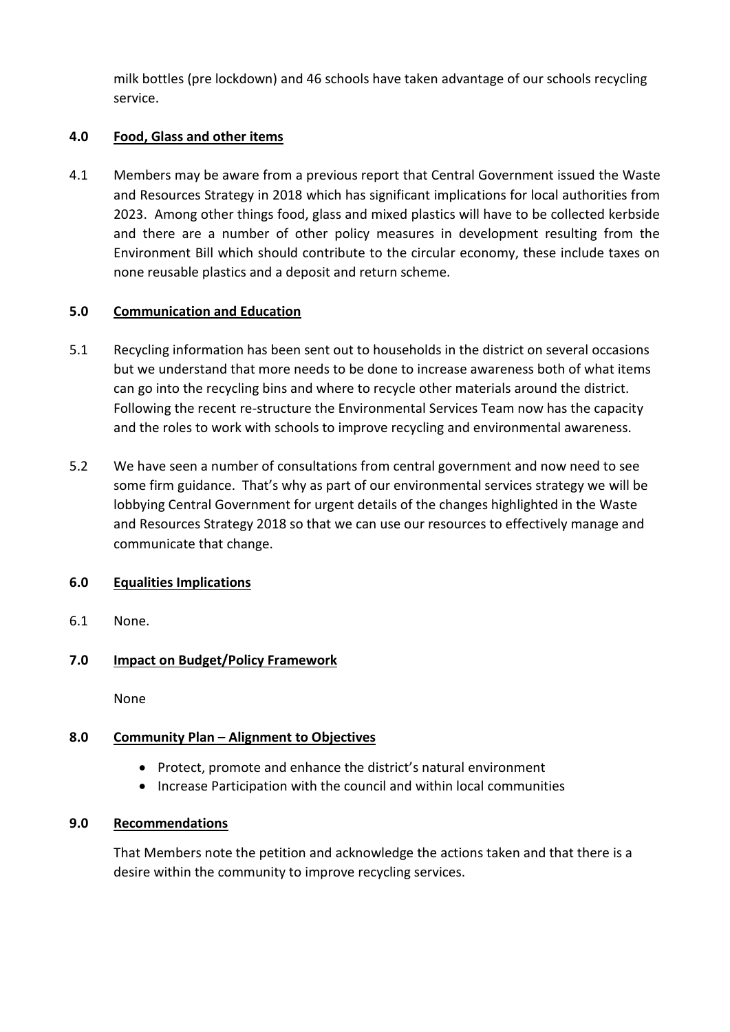milk bottles (pre lockdown) and 46 schools have taken advantage of our schools recycling service.

## **4.0 Food, Glass and other items**

4.1 Members may be aware from a previous report that Central Government issued the Waste and Resources Strategy in 2018 which has significant implications for local authorities from 2023. Among other things food, glass and mixed plastics will have to be collected kerbside and there are a number of other policy measures in development resulting from the Environment Bill which should contribute to the circular economy, these include taxes on none reusable plastics and a deposit and return scheme.

## **5.0 Communication and Education**

- 5.1 Recycling information has been sent out to households in the district on several occasions but we understand that more needs to be done to increase awareness both of what items can go into the recycling bins and where to recycle other materials around the district. Following the recent re-structure the Environmental Services Team now has the capacity and the roles to work with schools to improve recycling and environmental awareness.
- 5.2 We have seen a number of consultations from central government and now need to see some firm guidance. That's why as part of our environmental services strategy we will be lobbying Central Government for urgent details of the changes highlighted in the Waste and Resources Strategy 2018 so that we can use our resources to effectively manage and communicate that change.

## **6.0 Equalities Implications**

6.1 None.

# **7.0 Impact on Budget/Policy Framework**

None

# **8.0 Community Plan – Alignment to Objectives**

- Protect, promote and enhance the district's natural environment
- Increase Participation with the council and within local communities

## **9.0 Recommendations**

That Members note the petition and acknowledge the actions taken and that there is a desire within the community to improve recycling services.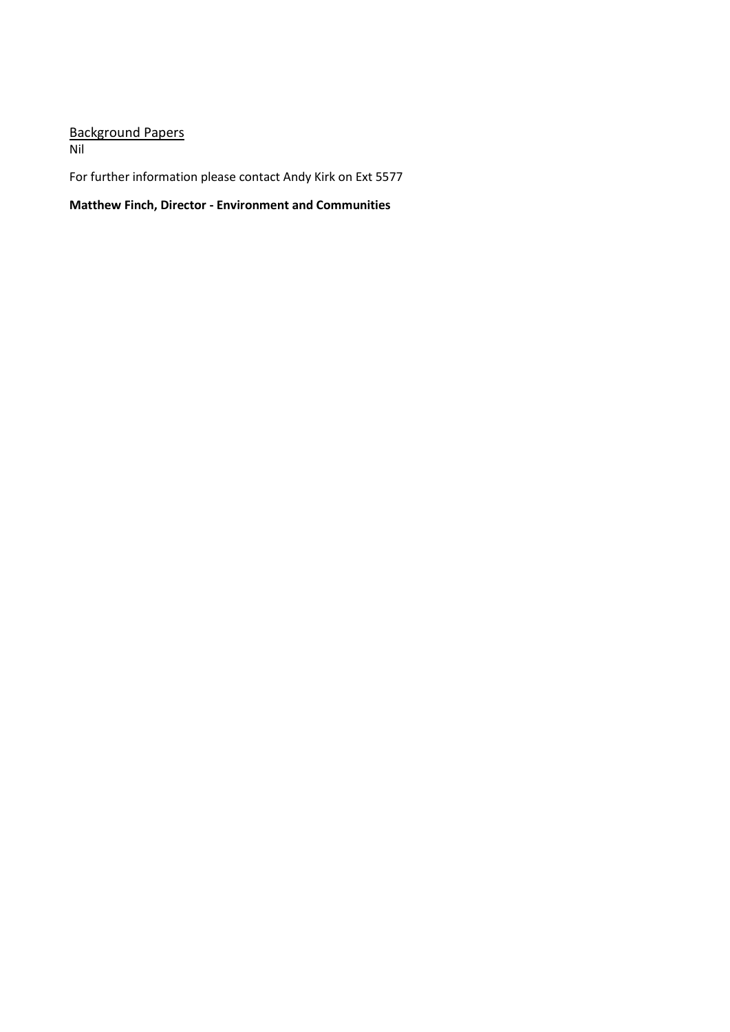# Background Papers

Nil

For further information please contact Andy Kirk on Ext 5577

**Matthew Finch, Director - Environment and Communities**